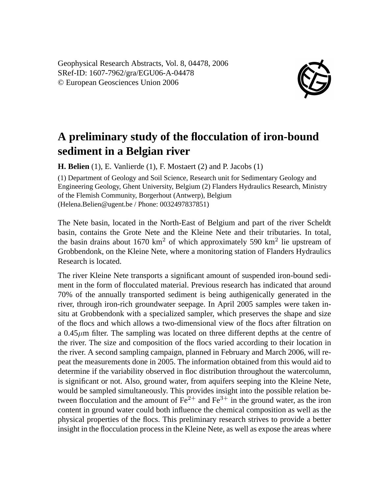Geophysical Research Abstracts, Vol. 8, 04478, 2006 SRef-ID: 1607-7962/gra/EGU06-A-04478 © European Geosciences Union 2006



## **A preliminary study of the flocculation of iron-bound sediment in a Belgian river**

**H. Belien** (1), E. Vanlierde (1), F. Mostaert (2) and P. Jacobs (1)

(1) Department of Geology and Soil Science, Research unit for Sedimentary Geology and Engineering Geology, Ghent University, Belgium (2) Flanders Hydraulics Research, Ministry of the Flemish Community, Borgerhout (Antwerp), Belgium (Helena.Belien@ugent.be / Phone: 0032497837851)

The Nete basin, located in the North-East of Belgium and part of the river Scheldt basin, contains the Grote Nete and the Kleine Nete and their tributaries. In total, the basin drains about 1670 km<sup>2</sup> of which approximately 590 km<sup>2</sup> lie upstream of Grobbendonk, on the Kleine Nete, where a monitoring station of Flanders Hydraulics Research is located.

The river Kleine Nete transports a significant amount of suspended iron-bound sediment in the form of flocculated material. Previous research has indicated that around 70% of the annually transported sediment is being authigenically generated in the river, through iron-rich groundwater seepage. In April 2005 samples were taken insitu at Grobbendonk with a specialized sampler, which preserves the shape and size of the flocs and which allows a two-dimensional view of the flocs after filtration on a  $0.45\mu$ m filter. The sampling was located on three different depths at the centre of the river. The size and composition of the flocs varied according to their location in the river. A second sampling campaign, planned in February and March 2006, will repeat the measurements done in 2005. The information obtained from this would aid to determine if the variability observed in floc distribution throughout the watercolumn, is significant or not. Also, ground water, from aquifers seeping into the Kleine Nete, would be sampled simultaneously. This provides insight into the possible relation between flocculation and the amount of  $Fe^{2+}$  and  $Fe^{3+}$  in the ground water, as the iron content in ground water could both influence the chemical composition as well as the physical properties of the flocs. This preliminary research strives to provide a better insight in the flocculation process in the Kleine Nete, as well as expose the areas where